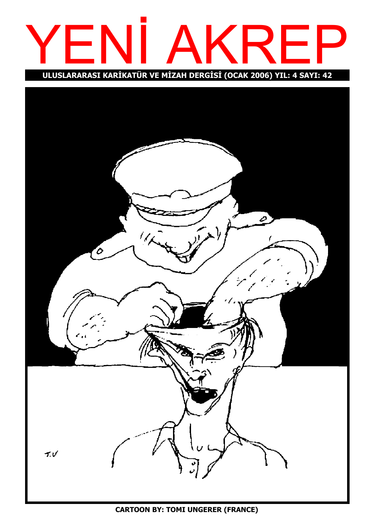

ULUSLARARASI KARİKATÜR VE MİZAH DERGİSİ (OCAK 2006) YIL: 4 SAYI: 42

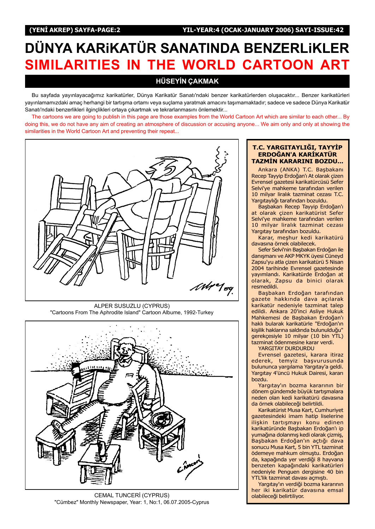# DÜNYA KARIKATÜR SANATINDA BENZERLIKLER SIMILARITIES IN THE WORLD CARTOON ART

## **HÜSEYİN CAKMAK**

Bu sayfada yayınlayacağımız karikatürler, Dünya Karikatür Sanatı'ndaki benzer karikatürlerden olusacaktır... Benzer karikatürleri yayınlamamızdaki amaç herhangi bir tartışma ortamı veya suçlama yaratmak amacını taşımamaktadır; sadece ve sadece Dünya Karikatür Sanatı'ndaki benzerlikleri ilginçlikleri ortaya çıkartmak ve tekrarlanmasını önlemektir...

The cartoons we are going to publish in this page are those examples from the World Cartoon Art which are similar to each other... By doing this, we do not have any aim of creating an atmosphere of discussion or accusing anyone... We aim only and only at showing the similarities in the World Cartoon Art and preventing their repeat...



ALPER SUSUZLU (CYPRUS) "Cartoons From The Aphrodite Island" Cartoon Albume, 1992-Turkey



CEMAL TUNCERİ (CYPRUS) "Cümbez" Monthly Newspaper, Year: 1, No:1, 06.07.2005-Cyprus

#### T.C. YARGITAYLIĞI, TAYYİP ERDOĞAN'A KARİKATÜR TAZMİN KARARINI BOZDU...

Ankara (ANKA) T.C. Başbakanı Recep Tayyip Erdoğan'ı At olarak çizen Evrensel gazetesi karikatürcüsü Sefer Selvi'ye mahkeme tarafından verilen 10 milyar liralık tazminat cezası T.C. Yargıtaylığı tarafından bozuldu.

Başbakan Recep Tayyip Erdoğan'ı at olarak çizen karikatürist Sefer Selvi'ye mahkeme tarafından verilen 10 milyar liralık tazminat cezası Yargıtay tarafından bozuldu.

Karar, meşhur kedi karikatürü davasına örnek olabilecek.

Sefer Selvi'nin Başbakan Erdoğan ile danısmanı ve AKP MKYK üvesi Cüneyd Zapsu'yu atla çizen karikatürü 5 Nisan 2004 tarihinde Evrensel gazetesinde yayımlandı. Karikatürde Erdoğan at olarak, Zapsu da binici olarak resmedildi.

Basbakan Erdoğan tarafından gazete hakkında dava açılarak karikatür nedeniyle tazminat talep edildi. Ankara 20'inci Asliye Hukuk Mahkemesi de Başbakan Erdoğan'ı haklı bularak karikatürle "Erdoğan'ın kisilik haklarına saldırıda bulunulduğu" gerekçesiyle 10 milyar (10 bin YTL) tazminat ödenmesine karar verdi.

YARGITAY DURDURDU

Evrensel gazetesi, karara itiraz ederek, temyiz başvurusunda bulununca yargılama Yargıtay'a geldi. Yargıtay 4'üncü Hukuk Dairesi, kararı bozdu.

Yargıtay'ın bozma kararının bir dönem gündemde büyük tartışmalara neden olan kedi karikatürü davasına da örnek olabileceği belirtildi.

Karikatürist Musa Kart, Cumhuriyet gazetesindeki imam hatip liselerine ilişkin tartışmayı konu edinen karikatüründe Başbakan Erdoğan'ı ip yumağına dolanmış kedi olarak çizmiş, Basbakan Erdoğan'ın açtığı dava sonucu Musa Kart, 5 bin YTL tazminat ödemeye mahkum olmuştu. Erdoğan da, kapağında yer verdiği 8 hayvana benzeten kapağındaki karikatürleri nedeniyle Penguen dergisine 40 bin YTL'lik tazminat davası açmıştı.

Yargıtay'ın verdiği bozma kararının her iki karikatür davasına emsal olabileceði belirtiliyor.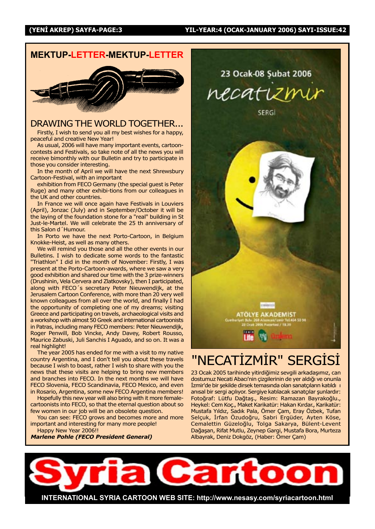## MEKTUP-LETTER-MEKTUP-LETTER



## DRAWING THE WORLD TOGETHER...

Firstly, I wish to send you all my best wishes for a happy, peaceful and creative New Year!

As usual, 2006 will have many important events, cartooncontests and Festivals, so take note of all the news you will receive bimonthly with our Bulletin and try to participate in those you consider interesting.

In the month of April we will have the next Shrewsbury Cartoon-Festival, with an important

exhibition from FECO Germany (the special guest is Peter Ruge) and many other exhibi-tions from our colleagues in the UK and other countries.

In France we will once again have Festivals in Louviers (April), Jonzac (July) and in September/October it will be the laying of the foundation stone for a "real" building in St Just-le-Martel. We will celebrate the 25 th anniversary of this Salon d'Humour.

In Porto we have the next Porto-Cartoon, in Belgium Knokke-Heist, as well as many others.

We will remind you those and all the other events in our Bulletins. I wish to dedicate some words to the fantastic "Triathlon" I did in the month of November: Firstly, I was present at the Porto-Cartoon-awards, where we saw a very good exhibition and shared our time with the 3 prize-winners (Drushinin, Vela Cervera and Zlatkovsky), then I participated, along with FECO's secretary Peter Nieuwendijk, at the Jerusalem Cartoon Conference, with more than 20 very well known colleagues from all over the world, and finally I had the opportunity of completing one of my dreams; visiting Greece and participating on travels, archaeological visits and a workshop with almost 50 Greek and international cartoonists in Patras, including many FECO members: Peter Nieuwendijk, Roger Penwill, Bob Vincke, Andy Davey, Robert Rousso, Maurice Zabuski, Juli Sanchis I Aguado, and so on. It was a real highlight!

The year 2005 has ended for me with a visit to my native country Argentina, and I don't tell you about these travels because I wish to boast, rather I wish to share with you the news that these visits are helping to bring new members and branches into FECO. In the next months we will have FECO Slovenia, FECO Scandinavia, FECO Mexico, and even in Rosario, Argentina, some new FECO Argentina members!

Hopefully this new year will also bring with it more femalecartoonists into FECO, so that the eternal question about so few women in our job will be an obsolete question.

You can see: FECO grows and becomes more and more important and interesting for many more people!

Happy New Year 2006!!

Marlene Pohle (FECO President General)

23 Ocak-08 Subat 2006 necat

SERGI



## "NECATİZMİR" SERGİSİ

23 Ocak 2005 tarihinde yitirdiğimiz sevgili arkadaşımız, can dostumuz Necati Abacı'nin çizgilerinin de yer aldığı ve onunla **İzmir'de bir şekilde dirsek temasında olan sanatçıların katıldı** 1 anısal bir sergi açılıyor. Sergiye katılacak sanatçılar şunlardır: Fotoğraf: Lütfu Dağtaş., Resim: Ramazan Bayrakoğlu., Heykel: Cem Koç., Maket Karikatür: Hakan Kırdar., Karikatür: Mustafa Yıldız, Sadık Pala, Ömer Çam, Eray Özbek, Tufan Selçuk, İrfan Özudoğru, Sabri Ergüder, Ayten Köse, Cemalettin Güzeloğlu, Tolga Sakarya, Bülent-Levent Dağaşan, Rifat Mutlu, Zeynep Gargi, Mustafa Bora, Murteza Albayrak, Deniz Dokgöz, (Haber: Ömer Çam)

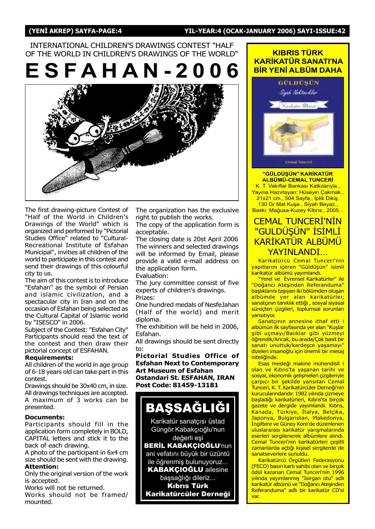(YENİ AKREP) SAYFA-PAGE:4 YIL-YEAR:4 (OCAK-JANUARY 2006) SAYI-ISSUE:42

## INTERNATIONAL CHILDREN'S DRAWINGS CONTEST "HALF OF THE WORLD IN CHILDREN'S DRAWINGS OF THE WORLD"

ESFAHAN-200



The first drawing-picture Contest of "Half of the World in Children's Drawings of the World" which is organized and performed by "Pictorial Studies Office" related to "Cultural-Recreational Institute of Esfahan Municipal", invities all children of the world to participate in this contest and send their drawings of this colourful city to us.

The aim of this contest is to introduce "Esfahan" as the symbol of Persian and islamic civilization, and a spectacular city in Iran and on the occasion of Esfahan being selected as the Cultural Capital of Islamic world by "ISESCO" in 2006.

Subject of the Contest: "Esfahan City" Participants should read the text of the contest and then draw their pictorial concept of ESFAHAN.

#### Requirements:

All children of the world in age group of 6-18 years old can take part in this contest.

Drawings should be 30x40 cm, in size. All drawings techniques are accepted. A maximum of 3 works can be presented.

## Documents:

Participants should fill in the application form completely in BOLD, CAPITAL letters and stick it to the back of each drawing.

A photo of the participant in 6x4 cm size should be sent with the drawing. Attention:

Only the original version of the work is accepted.

Works will not be returned.

Works should not be framed/ mounted.

The organization has the exclusive right to publish the works.

The copy of the application form is acceptable.

The closing date is 20st April 2006 The winners and selected drawings will be informed by Email, please provide a valid e-mail address on the application form.

Evaluation:

The jury committee consist of five experts of children's drawings. Prizes:

One hundred medals of NesfeJahan (Half of the world) and merit diploma.

The exhibition will be held in 2006, Esfahan.

All drawings should be sent directly to:

Pictorial Studies Office of Esfahan Next to Contemporary Art Museum of Esfahan Ostandari St. ESFAHAN, IRAN Post Code: 81459-13181



Karikatür sanatçısı üstad Güngör Kabakçıoğlu'nun değerli eşi

**BERİL KABAKÇIOĞLU'nun** ani vefatını büyük bir üzüntü ile öğrenmiş bulunuyoruz...

**KABAKÇIOĞLU ailesine** başsağlığı dileriz... Kıbrıs Türk

Karikatürcüler Derneği

## **KIBRIS TÜRK** KARİKATÜR SANATI'NA **BİR YENİ ALBÜM DAHA**



#### "GÜLDÜŞÜN" KARİKATÜR **ALBÜMÜ-CEMAL TUNCERİ** K. T. Vakıflar Bankası Katkılarıyla.,

Yayına Hazırlayan: Hüseyin Çakmak., 21x21 cm., 504 Sayfa., İplik Dikiş,

130 Gr Mat Kuşe., Siyah Beyaz., Baskı: Mağusa-Kuzey Klbrıs., 2005...

## **CEMAL TUNCERI'NIN** <u>"GULDÜŞÜN" İSİMLİ</u> KARİKATÜR ALBÜMÜ YAYINI ANDI

Karikatürcü Cemal Tunceri'nin yapıtlarını içeren "Güldüşün" isimli karikatür albümü yayımlandı.

"Yerel ve Evrensel Karikatürler" ile "Doğancı Ateşinden Referanduma" başlıklarını taşıyan iki bölümden oluşan albümde yer alan karikatürler, sanatçının tanıklık ettiği , sosyal siyasal süreçten çizgileri, toplumsal sorunları yansıtıyor.

Sanatçının annesine ithaf etti i albümün ilk sayfasında yer alan "Kuşlar gibi uçmayı/Balıklar gibi yüzmeyi öğrendik/Ancak, bu arada/Çok basit bir sanatı unuttuk/kardeşce yaşamayı' dizeleri insanoğlu için önemli bir mesaj niteliðinde.

Esas mesleği makine mühendisli i olan ve Kıbrıs'ta yaşanan tarihi ve sosyal, ekonomik gelişmeleri çizgileriyle çarpıcı bir şekilde yansıtan Cemal Tunceri, K. T. Karikatürcüler Derneği'nin kurucularındandır. 1982 yılında çizmeye başladığı karikatürleri, Kıbrıs'ta birçok gazete ve dergide yayımlandı. Kıbrıs, Kanada, Türkiye, İtalya, Belçika, Japonya, Bulgaristan, Makedonya, İngiltere ve Güney Kore'de düzenlenen uluslararası karikatür yarışmalarında eserleri sergilenerek albümlere alındı. Cemal Tunceri'nin karikatürleri çeşitli zamanlarda açtığı kişisel sergilerde de sanatseverlere sunuldu.

Karikatürcü Örgütleri Federasyonu (FECO) basın kartı sahibi olan ve birçok ödül kazanan Cemal Tunceri'nin 1996 yılında yayımlanmış "Isırgan otu" adlı karikatür albümü ve "Doğancı Ateşinden Referanduma" adlı bir karikatür CD'si var.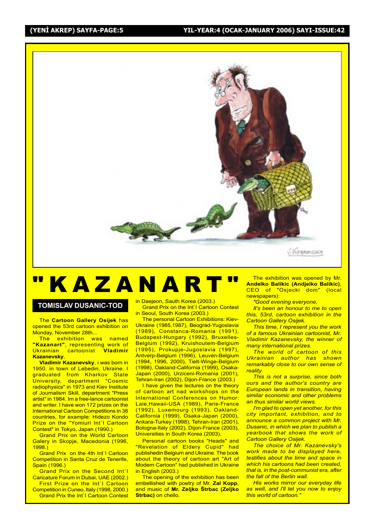

# "KAZANART"

## TOMISLAV DUSANIC-TOD

The Cartoon Gallery Osijek has opened the 53rd cartoon exhibition on Monday, November 28th...

The exhibition was named "Kazanart", representing work of<br>Ukrainian cartoonist Vladimir Ukrainian cartoonist Kazanevsky.

Vladimir Kazanevsky, i was born in 1950. in town of Lebedin, Ukraine. I graduated from Kharkov State University, department "Cosmic radiophysics" in 1973 and Kiev Institute of Journalism Skill, department "Press artist" in 1984. Im a free-lance cartoonist and writer. I have won 172 prizes on the International Cartoon Competitions in 38 countries, for example: Hidezo Kondo Prize on the "Yomiuri Int'l Cartoon Contest" in Tokyo, Japan (1990.)

Grand Prix on the World Cartoon Galery in Skopje, Macedonia (1996, 1998.)

Grand Prix on the 4th Int`I Cartoon Competition in Santa Cruz de Tenerife, Spain (1996.)

Grand Prix on the Second Int`I Caricature Forum in Dubai, UAE (2002.)

First Prize on the Int`I Cartoon Competition in Cuneo, Italy (1998, 2000.) Grand Prix the Int`I Cartoon Contest in Daejeon, Sauth Korea (2003.) Grand Prix on the Int`I Cartoon Contest in Seoul, South Korea (2003.)

The personal Cartoon Exhibitions: Kiev-Ukraine (1985,1987), Beograd-Yugoslavia (1989), Constanca-Romania (1991), Budapest-Hungary (1992), Bruxelles-Belgium (1992), Kruishoutem-Belgium (1995), Prokupje-Jugoslavia (1997), Antverp-Belgium (1996), Leuven-Belgium (1994, 1996, 2000), Tielt-Winge-Belgium (1998), Oakland-California (1999), Osaka-Japan (2000), Urziceni-Romania (2001), Tehran-Iran (2002), Dijon-France (2003.)

I have given the lectures on the theory of cartoon art nad workshops on the International Conferences on Humor: Laie,Hawaii-USA (1989), Paris-France (1992), Luxemourg (1993), Oakland-California (1999), Osaka-Japan (2000), Ankara-Turkey (1998), Tehran-Iran (2001), Bologna-Italy (2002), Dijon-France (2003), Universities in South Korea (2003).

Personal cartoon books "Heads" and "Revelation of Eldery Cupid" had publishedin Belgium and Ukraine. The book about the theory of cartoon art "Art of Modern Cartoon" had published in Ukraine in English (2003.)

The opening of the exhibition has been embellished with poetry of Mr. Zal Kopp, and music of Mr. Zeljko Štrbac (Zeljko Strbac) on chello.

The exhibition was opened by Mr. Andelko Balikic (Andjelko Balikic), CEO of "Osjecki dom" (local newspapers):

"Good evening everyone,

It's been an honour to me to open this, 53rd, cartoon exhibition in the Cartoon Gallery Osijek.

This time, I represent you the work of a famous Ukrainian cartoonist, Mr. Vladimir Kazanevsky, the winner of many international prizes.

**The world of cartoon of this** Ukrainian author has shown remarkably close to our own sense of reality.

This is not a surprise, since both ours and the author's country are European lands in transition, having similar economic and other problems an thus similar world views.

I'm glad to open yet another, for this city important, exhibition, and to announce a common project with Mr. Dusanic, in which we plan to publish a yearbook that shows the work of Cartoon Gallery Osijek.

The choice of Mr. Kazanevsky's work made to be displayed here, testifies about the time and space in which his cartoons had been created, that is, in the post-communist era, after the fall of the Berlin wall.

His works mirror our everyday life as well, and I'll let you now to enjoy this world of cartoon.'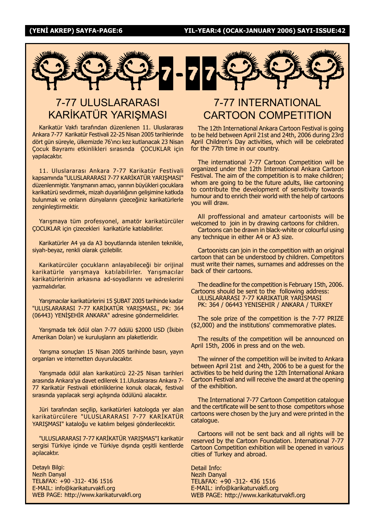

## 7-77 ULUSLARARASI KARİKATÜR YARIŞMASI

Karikatür Vakfı tarafından düzenlenen 11. Uluslararası Ankara 7-77 Karikatür Festivali 22-25 Nisan 2005 tarihlerinde dört gün süreyle, ülkemizde 76'ıncı kez kutlanacak 23 Nisan Cocuk Bayramı etkinlikleri sırasında COCUKLAR için yapılacaktır.

11. Uluslararası Ankara 7-77 Karikatür Festivali kapsamında "ULUSLARARASI 7-77 KARİKATÜR YARISMASI" düzenlenmiştir. Yarışmanın amacı, yarının büyükleri çocuklara karikatürü sevdirmek, mizah duyarlılığının gelişimine katkıda bulunmak ve onların dünyalarını çizeceğiniz karikatürlerle zenginleştirmektir.

Yarışmaya tüm profesyonel, amatör karikatürcüler COCUKLAR için çizecekleri karikatürle katılabilirler.

Karikatürler A4 ya da A3 boyutlarında istenilen teknikle, siyah-beyaz, renkli olarak çizilebilir.

Karikatürcüler çocukların anlayabileceği bir orijinal karikatürle yarışmaya katılabilirler. Yarışmacılar karikatürlerinin arkasına ad-soyadlarını ve adreslerini vazmalıdırlar.

Yarışmacılar karikatürlerini 15 ŞUBAT 2005 tarihinde kadar "ULUSLARARASI 7-77 KARİKATÜR YARIŞMASI., PK: 364 (06443) YENİŞEHİR ANKARA" adresine göndermelidirler.

Yarısmada tek ödül olan 7-77 ödülü \$2000 USD (İkibin Amerikan Doları) ve kuruluşların anı plaketleridir.

Yarışma sonuçları 15 Nisan 2005 tarihinde basın, yayın organları ve internetten duyurulacaktır.

Yarışmada ödül alan karikatürcü 22-25 Nisan tarihleri arasında Ankara'ya davet edilerek 11. Uluslararası Ankara 7-77 Karikatür Festivali etkinliklerine konuk olacak, festival sırasında yapılacak sergi açılışında ödülünü alacaktır.

Jüri tarafından seçilip, karikatürleri katologda yer alan karikatürcülere "ULUSLARARASI 7-77 KARİKATÜR YARIŞMASI" kataloğu ve katılım belgesi gönderilecektir.

"ULUSLARARASI 7-77 KARİKATÜR YARIŞMAS"I karikatür sergisi Türkiye içinde ve Türkiye dışında çeşitli kentlerde açılacaktır.

Detaylı Bilgi: Nezih Danyal TEL&FAX: +90 -312- 436 1516 E-MAIL: info@karikaturvakfi.org WEB PAGE: http://www.karikaturvakfi.org

## 7-77 INTERNATIONAL CARTOON COMPETITION

The 12th International Ankara Cartoon Festival is going to be held between April 21st and 24th, 2006 during 23rd April Children's Day activities, which will be celebrated for the 77th time in our country.

The international 7-77 Cartoon Competition will be organized under the 12th International Ankara Cartoon Festival. The aim of the competition is to make children; whom are going to be the future adults, like cartooning to contribute the development of sensitivity towards humour and to enrich their world with the help of cartoons you will draw.

All proffessional and amateur cartoonists will be welcomed to join in by drawing cartoons for children.

Cartoons can be drawn in black-white or colourful using any technique in either A4 or A3 size.

Cartoonists can join in the competition with an original cartoon that can be understood by children. Competitors must write their names, surnames and addresses on the back of their cartoons.

The deadline for the competition is February 15th, 2006. Cartoons should be sent to the following address: ULUSLARARASI 7-77 KARIKATUR YARISMASI PK: 364 / 06443 YENISEHIR / ANKARA / TURKEY

The sole prize of the competition is the 7-77 PRIZE (\$2,000) and the institutions' commemorative plates.

The results of the competition will be announced on April 15th, 2006 in press and on the web.

The winner of the competition will be invited to Ankara between April 21st and 24th, 2006 to be a guest for the activities to be held during the 12th International Ankara Cartoon Festival and will receive the award at the opening of the exhibition.

The International 7-77 Cartoon Competition catalogue and the certificate will be sent to those competitors whose cartoons were chosen by the jury and were printed in the catalogue.

Cartoons will not be sent back and all rights will be reserved by the Cartoon Foundation. International 7-77 Cartoon Competition exhibition will be opened in various cities of Turkey and abroad.

Detail Info: Nezih Danyal TEL&FAX: +90 -312- 436 1516 E-MAIL: info@karikaturvakfi.org WEB PAGE: http://www.karikaturvakfi.org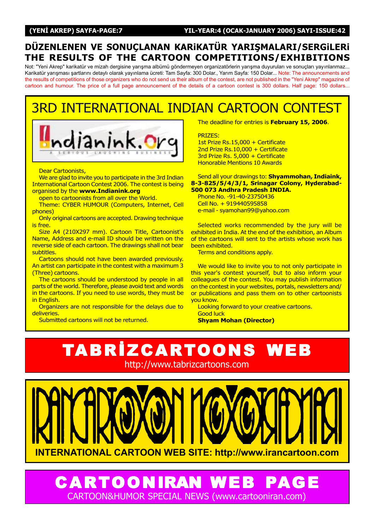## DÜZENLENEN VE SONUCLANAN KARIKATÜR YARISMALARI/SERGILERI THE RESULTS OF THE CARTOON COMPETITIONS/EXHIBITIONS

Not: "Yeni Akrep" karikatür ve mizah dergisine yarışma albümü göndermeyen organizatörlerin yarışma duyuruları ve sonuçları yayınlanmaz... Karikatür yarışması şartlarını detaylı olarak yayınlama ücreti: Tam Sayfa: 300 Dolar., Yarım Sayfa: 150 Dolar... Note: The announcements and the results of competitions of those organizers who do not send us their album of the contest, are not published in the "Yeni Akrep" magazine of cartoon and humour. The price of a full page announcement of the details of a cartoon contest is 300 dollars. Half page: 150 dollars...

## 3RD INTERNATIONAL INDIAN CARTOON CONTEST



Dear Cartoonists,

We are glad to invite you to participate in the 3rd Indian International Cartoon Contest 2006. The contest is being organised by the www.Indianink.org

open to cartoonists from all over the World.

Theme: CYBER HUMOUR (Computers, Internet, Cell phones)

Only original cartoons are accepted. Drawing technique is free.

Size A4 (210X297 mm). Cartoon Title, Cartoonist's Name, Address and e-mail ID should be written on the reverse side of each cartoon. The drawings shall not bear subtitles.

Cartoons should not have been awarded previously. An artist can participate in the contest with a maximum 3 (Three) cartoons.

The cartoons should be understood by people in all parts of the world. Therefore, please avoid text and words in the cartoons. If you need to use words, they must be in English.

Organizers are not responsible for the delays due to deliveries.

Submitted cartoons will not be returned.

The deadline for entries is February 15, 2006.

PRIZES:

1st Prize Rs.15,000 + Certificate 2nd Prize Rs.10,000 + Certificate 3rd Prize Rs. 5,000 + Certificate Honorable Mentions 10 Awards

#### Send all your drawings to: Shyammohan, Indiaink, 8-3-825/5/4/3/1, Srinagar Colony, Hyderabad-500 073 Andhra Pradesh INDIA.

Phone No. -91-40-23750436 Cell No. + 919440595858 e-mail - syamohan99@yahoo.com

Selected works recommended by the jury will be exhibited in India. At the end of the exhibition, an Album of the cartoons will sent to the artists whose work has been exhibited.

Terms and conditions apply.

We would like to invite you to not only participate in this year's contest yourself, but to also inform your colleagues of the contest. You may publish information on the contest in your websites, portals, newsletters and/ or publications and pass them on to other cartoonists you know.

Looking forward to your creative cartoons. Good luck

Shyam Mohan (Director)





**CARTOONIRAN WE** CARTOON&HUMOR SPECIAL NEWS (www.cartooniran.com)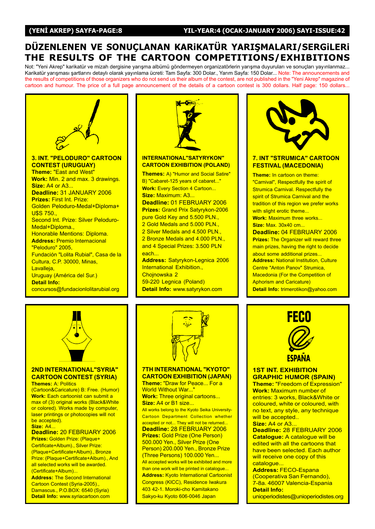## DÜZENLENEN VE SONUÇLANAN KARIKATÜR YARIŞMALARI/SERGILERI THE RESULTS OF THE CARTOON COMPETITIONS/EXHIBITIONS

Not: "Yeni Akrep" karikatür ve mizah dergisine yarışma albümü göndermeyen organizatörlerin yarışma duyuruları ve sonuçları yayınlanmaz... Karikatür yarışması şartlarını detaylı olarak yayınlama ücreti: Tam Sayfa: 300 Dolar., Yarım Sayfa: 150 Dolar... Note: The announcements and the results of competitions of those organizers who do not send us their album of the contest, are not published in the "Yeni Akrep" magazine of cartoon and humour. The price of a full page announcement of the details of a cartoon contest is 300 dollars. Half page: 150 dollars...





## 2ND INTERNATIONAL"SYRIA" CARTOON CONTEST (SYRIA)

**Themes: A: Politics** 

(Cartoon&Caricature) B: Free. (Humor) Work: Each cartoonist can submit a max of (3) original works (Black&White or colored). Works made by computer, laser printings or photocopies will not be accepted). **Size: A4...** 

Deadline: 20 FEBRUARY 2006 Prizes: Golden Prize: (Plaque+ Certificate+Album)., Silver Prize: (Plaque+Certificate+Album)., Bronze Prize: (Plaque+Certificate+Album)., And all selected works will be awarded. (Certificate+Album)...

Address: The Second International Cartoon Contest (Syria-2005)., Damascus., P.O.BOX: 6540 (Syria) Detail Info: www.syriacartoon.com



#### 7TH INTERNATIONAL "KYOTO" CARTOON EXHIBITION (JAPAN)

Theme: "Draw for Peace... For a World Without War..." Work: Three original cartoons... Size: A4 or B1 size...

All works belong to the Kyoto Seika University-Cartoon Department Collection whether accepted or not... They will not be returned... Deadline: 28 FEBRUARY 2006 Prizes: Gold Prize (One Person) 500.000 Yen., Silver Prize (One Person) 200.000 Yen., Bronze Prize (Three Persons) 100.000 Yen... All accepted works will be exhibited and more than one work will be printed in catalogue... Address: Kyoto International Cartoonist Congress (KICC), Residence Iwakura 403 42-1. Moroki-cho Kamitakano Sakyo-ku Kyoto 606-0046 Japan





## **1ST INT. EXHIBITION** GRAPHIC HUMOR (SPAIN)

Theme: "Freedom of Expression" Work: Maximum number of entries: 3 works, Black&White or coloured, white or coloured, with no text, any style, any technique will be accepted.. **Size: A4 or A3...** 

Deadline: 28 FEBRUARY 2006 Catalogue: A catalogue will be edited with all the cartoons that have been selected. Each author will receive one copy of this catalogue...

Address: FECO-Espana (Cooperativa San Fernando), 7-8a. 46007 Valencia-Espania Detail Info: unioperiodistes@unioperiodistes.org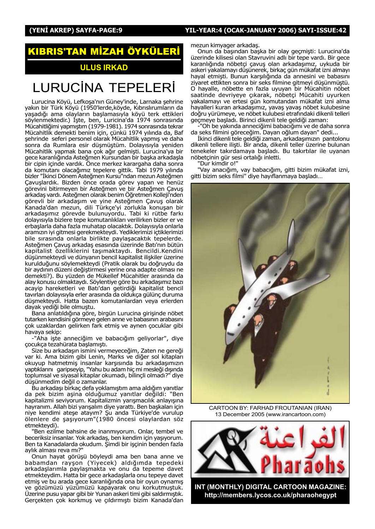## (YENİ AKREP) SAYFA-PAGE:9 YIL-YEAR:4 (OCAK-JANUARY 2006) SAYI-ISSUE:42

# RIS'TAN MİZAH ÖYKÜLERİ

## ULUS IRKAD

## LURUCINA TEPELERI

Lurucina Köyü, Lefkoşa'nın Güney'inde, Larnaka şehrine yakın bir Türk Köyü (1950'lerde,köyde, Kıbrıslırumların da yaşadığı ama olayların başlamasıyla köyü terk ettikleri söylenmektedir.) İşte, ben, Luricina'da 1974 sonrasında Mücahitliğimi yapmıştım (1979-1981). 1974 sonrasında tekrar Mücahitlik demekti benim için, çünkü 1974 yılında da, Baf şehrinde seferi personel olarak Mücahitlik yapmış ve daha sonra da Rumlara esir düşmüştüm. Dolayısıyla yeniden Mücahitlik yapmak bana çok ağır gelmişti. Lurucina'ya bir gece karanlığında Asteğmen Kursundan bir başka arkadaşla bir cipin içinde vardık. Önce merkez karargaha daha sonra da komutanı olacağımız tepelere gittik. Tabi 1979 yılında bizler "İkinci Dönem Asteğmen Kursu"ndan mezun Asteğmen Çavuşlardık. Bizden önce orada görev yapan ve henüz görevini bitirmeyen bir Asteğmen ve bir Asteğmen Çavuş arkadaş vardı. Asteğmen olarak benim Öğretmen Kolleji'nden görevli bir arkadaşım ve yine Asteğmen Çavuş olarak Kanada'dan mezun, dili Türkçe'yi zorlukla konuşan bir arkadaşımız görevde bulunuyordu. Tabi ki rütbe farkı dolayısıyla bizlere tepe komutanlıkları verilirken bizler er ve erbaşlarla daha fazla muhatap olacaktık. Dolayısıyla onlarla aramızın iyi gitmesi gerekmekteydi. Yediklerimizi içtiklerimizi bile sırasında onlarla birlikte paylaşacaktık tepelerde. Asteğmen Çavuş arkadaş esasında üzerinde Batı'nın bütün kapitalist özelliklerini taşımaktaydı. Bencildi.Kendini düşünmekteydi ve dünyanın bencil kapitalist ilişkiler üzerine kurulduğunu söylemekteydi (Pratik olarak bu doğruydu da bir aydının düzeni değiştirmesi yerine ona adapte olması ne demekti?). Bu yüzden de Mükellef Mücahitler arasında da alay konusu olmaktaydı. Söylentiye göre bu arkadaşımız bazı acayip hareketleri ve Batı'dan getirdiği kapitalist bencil tavırları dolayısıyla erler arasında da oldukça gülünç duruma düşmekteydi. Hatta bazen komutanlardan veya erlerden dayak yediği bile olmuştu.

Bana anlatıldığına göre, birgün Lurucina girişinde nöbet tutarken kendisini görmeye gelen anne ve babasının arabasını çok uzaklardan gelirken fark etmiş ve aynen çocuklar gibi havaya sekip:

-"Aha işte anneciğim ve babacığım geliyorlar", diye çocukça tezahürata başlamıştı.

Size bu arkadaşın ismini vermeyeceğim, Zaten ne gereği var ki. Ama bizim gibi Lenin, Marks ve diğer sol kitapları okuyup hatmetmiş insanlar karşısında bu arkadasımızın yaptıklarını garipseyip, "Yahu bu adam hiç mi mesleği dışında toplumsal ve siyasal kitaplar okumadı, bilinçli olmadı?" diye düşünmedim değil o zamanlar.

Bu arkadaşı birkaç defa yoklamıştım ama aldığım yanıtlar da pek bizim aşina olduğumuz yanıtlar değildi: "Ben kapitalizmi seviyorum. Kapitalizmin yarışmacılık anlayışına hayranım. Allah bizi yarışalım diye yarattı. Ben başkaları için niye kendimi ateşe atayım? Şu anda Türkiye'de vurulup ölenlere de şaşıyorum"(1980 öncesi olaylardan söz etmekteydi).

"Ben ezilme bahsine de inanmıyorum. Onlar, tembel ve beceriksiz insanlar. Yok arkadaş, ben kendim için yaşıyorum. Ben ta Kanadalarda okudum. Şimdi bir işçinin benden fazla aylık alması reva mı?"

Onun hayat görüşü böyleydi ama ben bana anne ve babamdan rayşon (Yiyecek) aldığımda tepedeki arkadaşlarımla paylaşmakta ve onu da tepeme davet etmekteydim. Hatta bir gece arkadaşlarla onu tepeye davet etmiş ve bu arada gece karanlığında ona bir oyun oynamış ve gözümüzü yüzümüzü kapayarak onu korkutmuştuk. Üzerine pusu yapar gibi bir Yunan askeri timi gibi saldırmıştık. Gerçekten çok korkmuş ve çıldırmıştı bizim Kanada'dan

mezun kimyager arkadaş.

Onun da başından başka bir olay geçmişti: Lurucina'da üzerinde kilisesi olan Stavruvini adlı bir tepe vardı. Bir gece karanlığında nöbetçi çavuş olan arkadaşımız, uykuda bir askeri yakalamayı düşünerek, birkaç gün mükafat izni almayı hayal etmişti. Bunun karşılığında da annesini ve babasını ziyaret ettikten sonra bir seks filmine gitmeyi düşünmüştü. O hayalle, nöbette en fazla uyuyan bir Mücahitin nöbet saatinde devriyeye çıkarak, nöbetçi Mücahiti uyurken yakalamayı ve ertesi gün komutandan mükafat izni alma hayalleri kuran arkadaşımız, yavaş yavaş nöbet kulubesine doğru yürümeye, ve nöbet kulubesi etrafındaki dikenli telleri geçmeye başladı. Birinci dikenli tele geldiği zaman:

-"Oh be yakında anneciğimi babacığımı ve de daha sonra da seks filmini göreceğim. Dayan oğlum dayan" dedi...

İkinci dikenli tele geldiği zaman, arkadaşımızın pantolonu dikenli tellere ilişti. Bir anda, dikenli teller üzerine bulunan tenekeler takırdamaya başladı. Bu takırtılar ile uyanan nöbetçinin gür sesi ortalığı inletti.

"Dur kimdir o!"

"Vay anacığım, vay babacığım, gitti bizim mükafat izni, gitti bizim seks filmi" diye hayıflanmaya başladı...



CARTOON BY: FARHAD FROUTANIAN (IRAN) 13 December 2005 (www.irancartoon.com)



http://members.lycos.co.uk/pharaohegypt